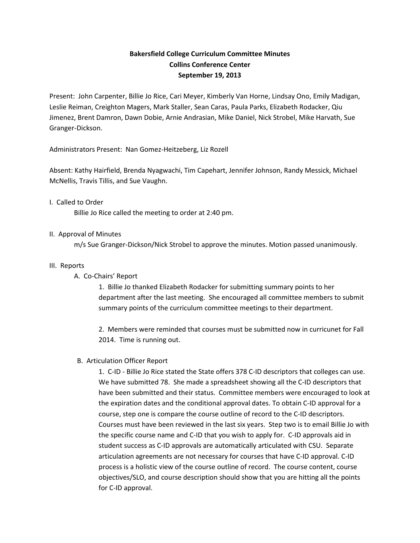# **Bakersfield College Curriculum Committee Minutes Collins Conference Center September 19, 2013**

Present: John Carpenter, Billie Jo Rice, Cari Meyer, Kimberly Van Horne, Lindsay Ono, Emily Madigan, Leslie Reiman, Creighton Magers, Mark Staller, Sean Caras, Paula Parks, Elizabeth Rodacker, Qiu Jimenez, Brent Damron, Dawn Dobie, Arnie Andrasian, Mike Daniel, Nick Strobel, Mike Harvath, Sue Granger-Dickson.

Administrators Present: Nan Gomez-Heitzeberg, Liz Rozell

Absent: Kathy Hairfield, Brenda Nyagwachi, Tim Capehart, Jennifer Johnson, Randy Messick, Michael McNellis, Travis Tillis, and Sue Vaughn.

## I. Called to Order

Billie Jo Rice called the meeting to order at 2:40 pm.

## II. Approval of Minutes

m/s Sue Granger-Dickson/Nick Strobel to approve the minutes. Motion passed unanimously.

### III. Reports

## A. Co-Chairs' Report

1. Billie Jo thanked Elizabeth Rodacker for submitting summary points to her department after the last meeting. She encouraged all committee members to submit summary points of the curriculum committee meetings to their department.

2. Members were reminded that courses must be submitted now in curricunet for Fall 2014. Time is running out.

## B. Articulation Officer Report

1. C-ID - Billie Jo Rice stated the State offers 378 C-ID descriptors that colleges can use. We have submitted 78. She made a spreadsheet showing all the C-ID descriptors that have been submitted and their status. Committee members were encouraged to look at the expiration dates and the conditional approval dates. To obtain C-ID approval for a course, step one is compare the course outline of record to the C-ID descriptors. Courses must have been reviewed in the last six years. Step two is to email Billie Jo with the specific course name and C-ID that you wish to apply for. C-ID approvals aid in student success as C-ID approvals are automatically articulated with CSU. Separate articulation agreements are not necessary for courses that have C-ID approval. C-ID process is a holistic view of the course outline of record. The course content, course objectives/SLO, and course description should show that you are hitting all the points for C-ID approval.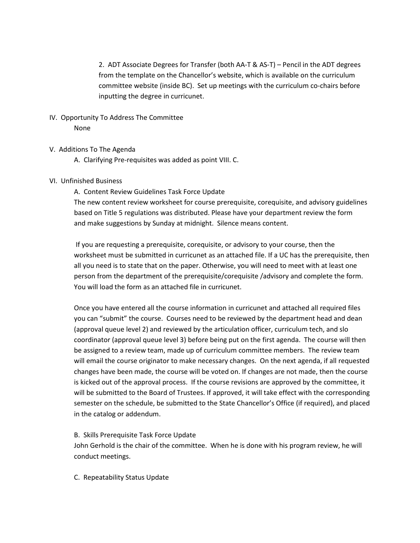2. ADT Associate Degrees for Transfer (both AA-T & AS-T) – Pencil in the ADT degrees from the template on the Chancellor's website, which is available on the curriculum committee website (inside BC). Set up meetings with the curriculum co-chairs before inputting the degree in curricunet.

## IV. Opportunity To Address The Committee None

- V. Additions To The Agenda
	- A. Clarifying Pre-requisites was added as point VIII. C.

#### VI. Unfinished Business

A. Content Review Guidelines Task Force Update

The new content review worksheet for course prerequisite, corequisite, and advisory guidelines based on Title 5 regulations was distributed. Please have your department review the form and make suggestions by Sunday at midnight. Silence means content.

If you are requesting a prerequisite, corequisite, or advisory to your course, then the worksheet must be submitted in curricunet as an attached file. If a UC has the prerequisite, then all you need is to state that on the paper. Otherwise, you will need to meet with at least one person from the department of the prerequisite/corequisite /advisory and complete the form. You will load the form as an attached file in curricunet.

Once you have entered all the course information in curricunet and attached all required files you can "submit" the course. Courses need to be reviewed by the department head and dean (approval queue level 2) and reviewed by the articulation officer, curriculum tech, and slo coordinator (approval queue level 3) before being put on the first agenda. The course will then be assigned to a review team, made up of curriculum committee members. The review team will email the course originator to make necessary changes. On the next agenda, if all requested changes have been made, the course will be voted on. If changes are not made, then the course is kicked out of the approval process. If the course revisions are approved by the committee, it will be submitted to the Board of Trustees. If approved, it will take effect with the corresponding semester on the schedule, be submitted to the State Chancellor's Office (if required), and placed in the catalog or addendum.

#### B. Skills Prerequisite Task Force Update

John Gerhold is the chair of the committee. When he is done with his program review, he will conduct meetings.

C. Repeatability Status Update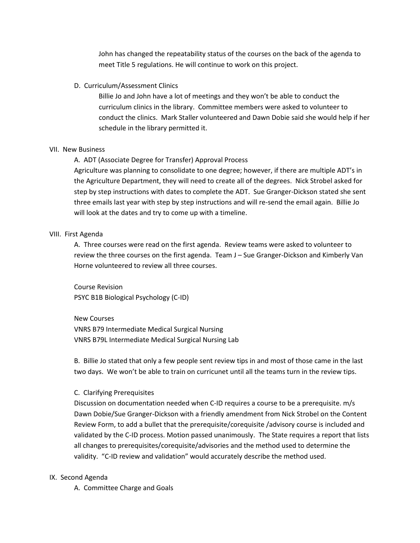John has changed the repeatability status of the courses on the back of the agenda to meet Title 5 regulations. He will continue to work on this project.

### D. Curriculum/Assessment Clinics

Billie Jo and John have a lot of meetings and they won't be able to conduct the curriculum clinics in the library. Committee members were asked to volunteer to conduct the clinics. Mark Staller volunteered and Dawn Dobie said she would help if her schedule in the library permitted it.

### VII. New Business

A. ADT (Associate Degree for Transfer) Approval Process

Agriculture was planning to consolidate to one degree; however, if there are multiple ADT's in the Agriculture Department, they will need to create all of the degrees. Nick Strobel asked for step by step instructions with dates to complete the ADT. Sue Granger-Dickson stated she sent three emails last year with step by step instructions and will re-send the email again. Billie Jo will look at the dates and try to come up with a timeline.

## VIII. First Agenda

A. Three courses were read on the first agenda. Review teams were asked to volunteer to review the three courses on the first agenda. Team J – Sue Granger-Dickson and Kimberly Van Horne volunteered to review all three courses.

Course Revision PSYC B1B Biological Psychology (C-ID)

New Courses VNRS B79 Intermediate Medical Surgical Nursing VNRS B79L Intermediate Medical Surgical Nursing Lab

B. Billie Jo stated that only a few people sent review tips in and most of those came in the last two days. We won't be able to train on curricunet until all the teams turn in the review tips.

### C. Clarifying Prerequisites

Discussion on documentation needed when C-ID requires a course to be a prerequisite. m/s Dawn Dobie/Sue Granger-Dickson with a friendly amendment from Nick Strobel on the Content Review Form, to add a bullet that the prerequisite/corequisite /advisory course is included and validated by the C-ID process. Motion passed unanimously. The State requires a report that lists all changes to prerequisites/corequisite/advisories and the method used to determine the validity. "C-ID review and validation" would accurately describe the method used.

## IX. Second Agenda

A. Committee Charge and Goals